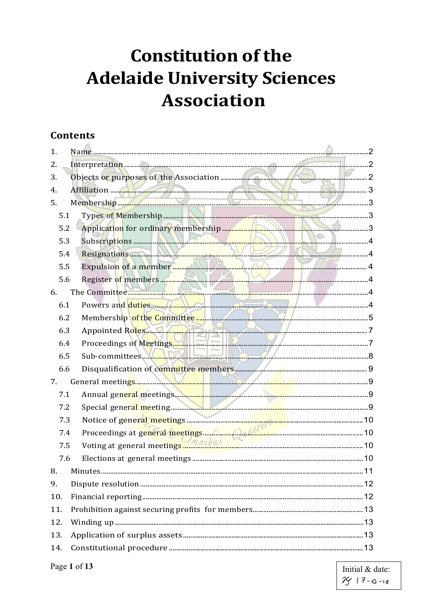# **Constitution of the Adelaide University Sciences Association**

## **Contents**

| 1.  |                                                                                                                                                                                                                                |  |  |
|-----|--------------------------------------------------------------------------------------------------------------------------------------------------------------------------------------------------------------------------------|--|--|
| 2.  |                                                                                                                                                                                                                                |  |  |
| 3.  |                                                                                                                                                                                                                                |  |  |
| 4.  | Affiliation 3                                                                                                                                                                                                                  |  |  |
| 5.  |                                                                                                                                                                                                                                |  |  |
| 5.1 |                                                                                                                                                                                                                                |  |  |
| 5.2 |                                                                                                                                                                                                                                |  |  |
| 5.3 |                                                                                                                                                                                                                                |  |  |
| 5.4 | Resignations 4                                                                                                                                                                                                                 |  |  |
| 5.5 | Expulsion of a member <b>the contract of a member</b> 4                                                                                                                                                                        |  |  |
| 5.6 | Register of members and the Committee of the Committee of the Committee of the Committee of the Committee of the Committee of the Committee of the Committee of the Committee of the Committee of the Committee of the Committ |  |  |
| 6.  |                                                                                                                                                                                                                                |  |  |
| 6.1 | Powers and duties MARIA COMPANY 2014                                                                                                                                                                                           |  |  |
| 6.2 |                                                                                                                                                                                                                                |  |  |
| 6.3 | Appointed Roles<br>The Committees<br>Sub-committees<br>8                                                                                                                                                                       |  |  |
| 6.4 |                                                                                                                                                                                                                                |  |  |
| 6.5 |                                                                                                                                                                                                                                |  |  |
| 6.6 |                                                                                                                                                                                                                                |  |  |
| 7.  |                                                                                                                                                                                                                                |  |  |
| 7.1 |                                                                                                                                                                                                                                |  |  |
| 7.2 |                                                                                                                                                                                                                                |  |  |
| 7.3 |                                                                                                                                                                                                                                |  |  |
| 7.4 |                                                                                                                                                                                                                                |  |  |
| 7.5 | Voting at general meetings <u>mentions</u> meetings and the measurement of the value of the Voting at general neetings                                                                                                         |  |  |
| 7.6 |                                                                                                                                                                                                                                |  |  |
| 8.  |                                                                                                                                                                                                                                |  |  |
| 9.  |                                                                                                                                                                                                                                |  |  |
| 10. |                                                                                                                                                                                                                                |  |  |
| 11. |                                                                                                                                                                                                                                |  |  |
| 12. |                                                                                                                                                                                                                                |  |  |
| 13. |                                                                                                                                                                                                                                |  |  |
| 14. |                                                                                                                                                                                                                                |  |  |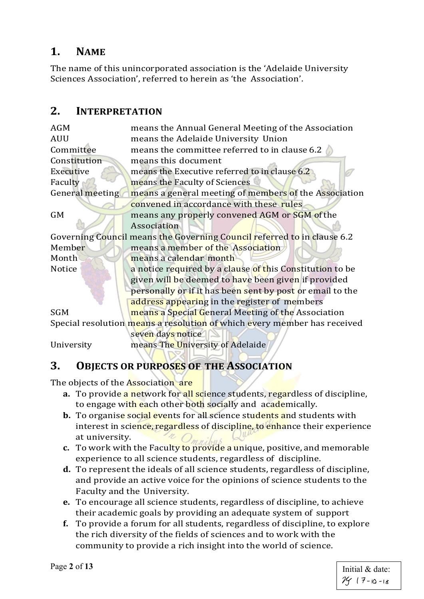## **1. NAME**

The name of this unincorporated association is the 'Adelaide University Sciences Association', referred to herein as 'the Association'.

## <span id="page-1-0"></span>**2. INTERPRETATION**

| <b>AGM</b>                                                               | means the Annual General Meeting of the Association                     |  |
|--------------------------------------------------------------------------|-------------------------------------------------------------------------|--|
| <b>AUU</b>                                                               | means the Adelaide University Union                                     |  |
| Committee                                                                | means the committee referred to in clause 6.2                           |  |
| Constitution                                                             | means this document                                                     |  |
| Executive                                                                | means the Executive referred to in clause 6.2                           |  |
| Faculty                                                                  | means the Faculty of Sciences                                           |  |
| General meeting                                                          | means a general meeting of members of the Association                   |  |
|                                                                          | convened in accordance with these rules                                 |  |
| <b>GM</b>                                                                | means any properly convened AGM or SGM of the                           |  |
|                                                                          | Association                                                             |  |
|                                                                          | Governing Council means the Governing Council referred to in clause 6.2 |  |
| Member                                                                   | means a member of the Association                                       |  |
| Month                                                                    | means a calendar month                                                  |  |
| <b>Notice</b>                                                            | a notice required by a clause of this Constitution to be                |  |
|                                                                          | given will be deemed to have been given if provided                     |  |
|                                                                          | personally or if it has been sent by post or email to the               |  |
|                                                                          | address appearing in the register of members                            |  |
| <b>SGM</b>                                                               | means a Special General Meeting of the Association                      |  |
| Special resolution means a resolution of which every member has received |                                                                         |  |
|                                                                          | seven days notice                                                       |  |
| University                                                               | means The University of Adelaide                                        |  |
|                                                                          |                                                                         |  |

## <span id="page-1-1"></span>**3. OBJECTS OR PURPOSES OF THE ASSOCIATION**

The objects of the **Association** are

- **a.** To provide a network for all science students, regardless of discipline, to engage with each other both socially and academically.
- **b.** To organise social events for all science students and students with interest in science, regardless of discipline, to enhance their experience  $\omega$ at university.
- **c.** To work with the Faculty to provide a unique, positive, and memorable experience to all science students, regardless of discipline.
- **d.** To represent the ideals of all science students, regardless of discipline, and provide an active voice for the opinions of science students to the Faculty and the University.
- **e.** To encourage all science students, regardless of discipline, to achieve their academic goals by providing an adequate system of support
- **f.** To provide a forum for all students, regardless of discipline, to explore the rich diversity of the fields of sciences and to work with the community to provide a rich insight into the world of science.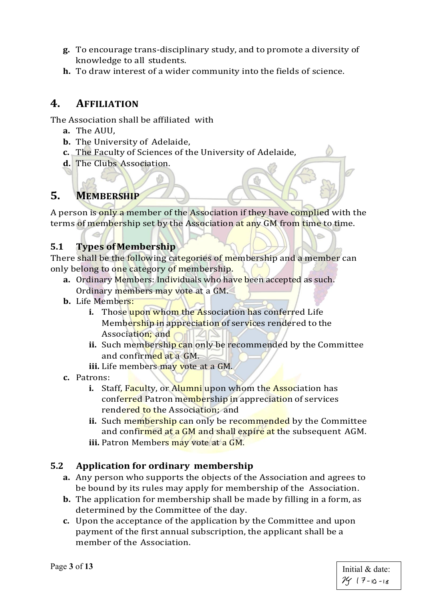- **g.** To encourage trans-disciplinary study, and to promote a diversity of knowledge to all students.
- **h.** To draw interest of a wider community into the fields of science.

## <span id="page-2-0"></span>**4. AFFILIATION**

The Association shall be affiliated with

- **a.** The AUU,
- **b.** The University of Adelaide,
- **c.** The Faculty of Sciences of the University of Adelaide,
- **d.** The Clubs Association.

# <span id="page-2-1"></span>**5. MEMBERSHIP**

A person is only a member of the Association if they have complied with the terms of membership set by the Association at any GM from time to time.

#### <span id="page-2-2"></span>**5.1 Types ofMembership**

There shall be the following categories of membership and a member can only belong to one category of membership.

- **a.** Ordinary Members: Individuals who have been accepted as such. Ordinary members may vote at a GM.
- **b.** Life Members:
	- **i.** Those upon whom the Association has conferred Life Membership in appreciation of services rendered to the Association; and
	- ii. Such membership can only be recommended by the Committee and confirmed at a GM.
	- **iii.** Life members may vote at a GM.
- **c.** Patrons:
	- **i.** Staff, Faculty, or Alumni upon whom the Association has conferred Patron membership in appreciation of services rendered to the Association; and
	- **ii.** Such membership can only be recommended by the Committee and confirmed at a GM and shall expire at the subsequent AGM.
	- **iii.** Patron Members may vote at a GM.

#### <span id="page-2-3"></span>**5.2 Application for ordinary membership**

- **a.** Any person who supports the objects of the Association and agrees to be bound by its rules may apply for membership of the Association.
- **b.** The application for membership shall be made by filling in a form, as determined by the Committee of the day.
- **c.** Upon the acceptance of the application by the Committee and upon payment of the first annual subscription, the applicant shall be a member of the Association.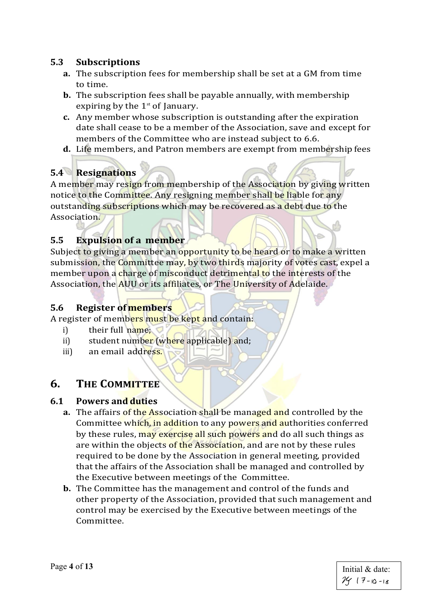#### <span id="page-3-0"></span>**5.3 Subscriptions**

- **a.** The subscription fees for membership shall be set at a GM from time to time.
- **b.** The subscription fees shall be payable annually, with membership expiring by the  $1<sup>st</sup>$  of January.
- **c.** Any member whose subscription is outstanding after the expiration date shall cease to be a member of the Association, save and except for members of the Committee who are instead subject to 6.6.
- **d.** Life members, and Patron members are exempt from membership fees

## <span id="page-3-1"></span>**5.4 Resignations**

A member may resign from membership of the Association by giving written notice to the Committee. Any resigning member shall be liable for any outstanding subscriptions which may be recovered as a debt due to the Association.

#### <span id="page-3-2"></span>**5.5 Expulsion of a member**

Subject to giving a member an opportunity to be heard or to make a written submission, the Committee may, by two thirds majority of votes cast, expel a member upon a charge of misconduct detrimental to the interests of the Association, the AUU or its affiliates, or The University of Adelaide.

#### <span id="page-3-3"></span>**5.6 Register of members**

A register of members must be kept and contain:

- i) their full name;
- ii) student number (where applicable) and;
- iii) an email address.

#### <span id="page-3-4"></span>**6. THE COMMITTEE**

#### <span id="page-3-5"></span>**6.1 Powers and duties**

- **a.** The affairs of the Association shall be managed and controlled by the Committee which, in addition to any powers and authorities conferred by these rules, may exercise all such powers and do all such things as are within the objects of the Association, and are not by these rules required to be done by the Association in general meeting, provided that the affairs of the Association shall be managed and controlled by the Executive between meetings of the Committee.
- **b.** The Committee has the management and control of the funds and other property of the Association, provided that such management and control may be exercised by the Executive between meetings of the Committee.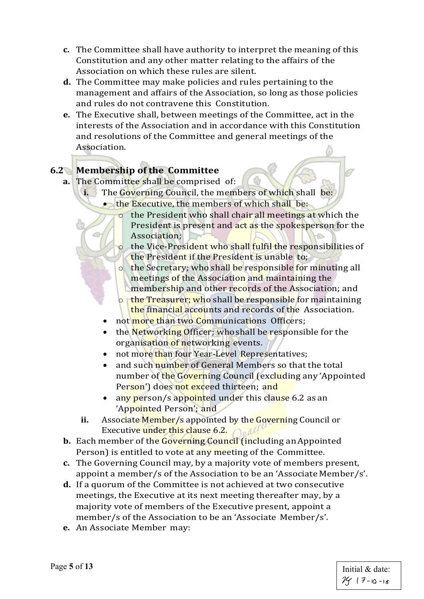- **c.** The Committee shall have authority to interpret the meaning of this Constitution and any other matter relating to the affairs of the Association on which these rules are silent.
- **d.** The Committee may make policies and rules pertaining to the management and affairs of the Association, so long as those policies and rules do not contravene this Constitution.
- **e.** The Executive shall, between meetings of the Committee, act in the interests of the Association and in accordance with this Constitution and resolutions of the Committee and general meetings of the Association.

## <span id="page-4-0"></span>**6.2 Membership of the Committee**

- **a.** The Committee shall be comprised of:
	- **i.** The Governing Council, the members of which shall be:
		- the Executive, the members of which shall be:
			- o the President who shall chair all meetings at which the President is present and act as the spokesperson for the Association;
			- o the Vice-President who shall fulfil the responsibilities of the President if the President is unable to;
			- o the Secretary; who shall be responsible for minuting all meetings of the Association and maintaining the
				- membership and other records of the Association; and  $\Box$  the Treasurer; who shall be responsible for maintaining
			- the financial accounts and records of the Association.
		- not more than two Communications Officers;
		- the Networking Officer; who shall be responsible for the organisation of networking events.
		- not more than four Year-Level Representatives;
		- and such number of General Members so that the total number of the Governing Council (excluding any 'Appointed Person') does not exceed thirteen; and
		- any person/s appointed under this clause 6.2 as an 'Appointed Person'; and
	- **ii.** Associate Member/s appointed by the Governing Council or Executive under this clause 6.2.  $\bigcap_{u} \mathbb{R}^d$
- **b.** Each member of the Governing Council (including an Appointed Person) is entitled to vote at any meeting of the Committee.
- **c.** The Governing Council may, by a majority vote of members present, appoint a member/s of the Association to be an 'Associate Member/s'.
- **d.** If a quorum of the Committee is not achieved at two consecutive meetings, the Executive at its next meeting thereafter may, by a majority vote of members of the Executive present, appoint a member/s of the Association to be an 'Associate Member/s'.
- **e.** An Associate Member may: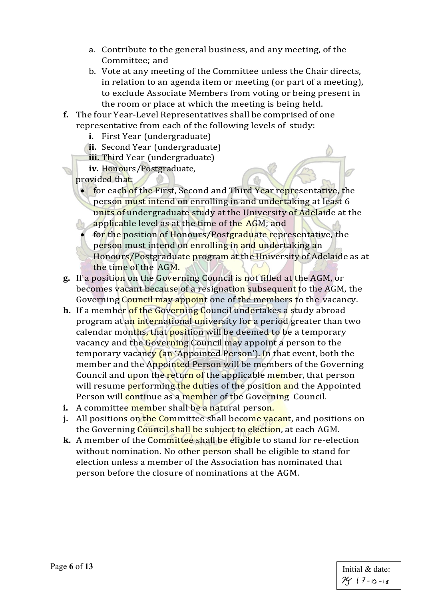- a. Contribute to the general business, and any meeting, of the Committee; and
- b. Vote at any meeting of the Committee unless the Chair directs, in relation to an agenda item or meeting (or part of a meeting), to exclude Associate Members from voting or being present in the room or place at which the meeting is being held.
- **f.** The four Year-Level Representatives shall be comprised of one representative from each of the following levels of study:
	- **i.** First Year (undergraduate)
	- **ii.** Second Year (undergraduate)
	- **iii.** Third Year (undergraduate)
	- **iv.** Honours/Postgraduate,
	- provided that:
		- for each of the First, Second and Third Year representative, the person must intend on enrolling in and undertaking at least 6 units of undergraduate study at the University of Adelaide at the applicable level as at the time of the AGM; and
			- for the position of Honours/Postgraduate representative, the person must intend on enrolling in and undertaking an Honours/Postgraduate program at the University of Adelaide as at the time of the AGM.
- **g.** If a position on the Governing Council is not filled at the AGM, or becomes vacant because of a resignation subsequent to the AGM, the Governing Council may appoint one of the members to the vacancy.
- **h.** If a member of the Governing Council undertakes a study abroad program at an international university for a period greater than two calendar months, that position will be deemed to be a temporary vacancy and the Governing Council may appoint a person to the temporary vacancy (an 'Appointed Person'). In that event, both the member and the Appointed Person will be members of the Governing Council and upon the return of the applicable member, that person will resume **performing the duties of the position and the Appointed** Person will continue as a member of the Governing Council.
- **i.** A committee member shall be a natural person.
- **j.** All positions on the Committee shall become vacant, and positions on the Governing Council shall be subject to election, at each AGM.
- **k.** A member of the Committee shall be eligible to stand for re-election without nomination. No other person shall be eligible to stand for election unless a member of the Association has nominated that person before the closure of nominations at the AGM.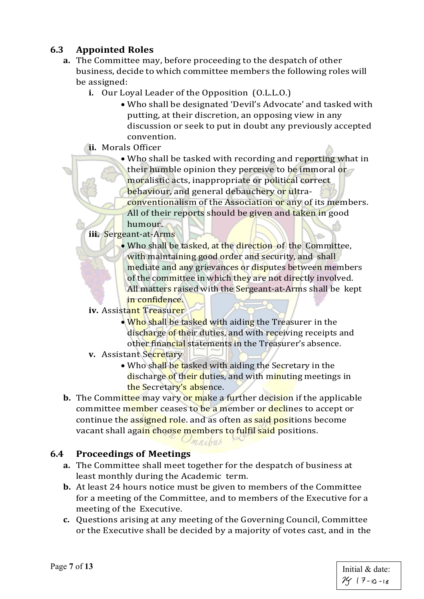## <span id="page-6-0"></span>**6.3 Appointed Roles**

- **a.** The Committee may, before proceeding to the despatch of other business, decide to which committee members the following roles will be assigned:
	- **i.** Our Loyal Leader of the Opposition (O.L.L.O.)
		- Who shall be designated 'Devil's Advocate' and tasked with putting, at their discretion, an opposing view in any discussion or seek to put in doubt any previously accepted convention.
	- **ii.** Morals Officer
		- Who shall be tasked with recording and reporting what in their humble opinion they perceive to be immoral or moralistic acts, inappropriate or political correct behaviour, and general debauchery or ultraconventionalism of the Association or any of its members.
		- All of their reports should be given and taken in good humour.

#### **iii.** Sergeant-at-Arms

- Who shall be tasked, at the direction of the Committee, with maintaining good order and security, and shall mediate and any grievances or disputes between members of the committee in which they are not directly involved. All matters raised with the Sergeant-at-Arms shall be kept in confidence.
- **iv.** Assistant Treasurer
	- Who shall be tasked with aiding the Treasurer in the discharge of their duties, and with receiving receipts and other financial statements in the Treasurer's absence.
- **v.** Assistant Secretary
	- Who shall be tasked with aiding the Secretary in the discharge of their duties, and with minuting meetings in the Secretary's absence.
- **b.** The Committee may vary or make a further decision if the applicable committee member ceases to be a member or declines to accept or continue the assigned role. and as often as said positions become vacant shall again choose members to fulfil said positions.

 $m_{M\lambda}$  $m_{\lambda}$ 

#### <span id="page-6-1"></span>**6.4 Proceedings of Meetings**

- **a.** The Committee shall meet together for the despatch of business at least monthly during the Academic term.
- **b.** At least 24 hours notice must be given to members of the Committee for a meeting of the Committee, and to members of the Executive for a meeting of the Executive.
- **c.** Questions arising at any meeting of the Governing Council, Committee or the Executive shall be decided by a majority of votes cast, and in the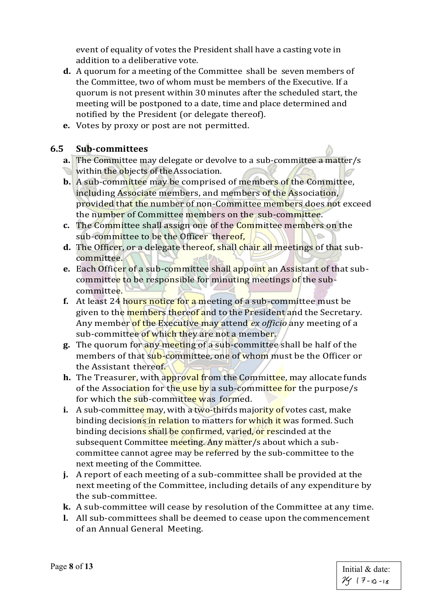event of equality of votes the President shall have a casting vote in addition to a deliberative vote.

- **d.** A quorum for a meeting of the Committee shall be seven members of the Committee, two of whom must be members of the Executive. If a quorum is not present within 30 minutes after the scheduled start, the meeting will be postponed to a date, time and place determined and notified by the President (or delegate thereof).
- **e.** Votes by proxy or post are not permitted.

#### **6.5 Sub-committees**

- <span id="page-7-0"></span>**a.** The Committee may delegate or devolve to a sub-committee a matter/s
- within the objects of the Association.
- **b.** A sub-committee may be comprised of members of the Committee, including Associate members, and members of the Association, provided that the number of non-Committee members does not exceed the number of Committee members on the sub-committee.
- **c.** The Committee shall assign one of the Committee members on the sub-committee to be the Officer thereof,
- **d.** The Officer, or a delegate thereof, shall chair all meetings of that subcommittee.
- **e.** Each Officer of a sub-committee shall appoint an Assistant of that subcommittee to be responsible for minuting meetings of the subcommittee.
- **f.** At least 24 hours notice for a meeting of a sub-committee must be given to the members thereof and to the President and the Secretary. Any member of the Executive may attend *ex officio* any meeting of a sub-committee of which they are not a member.
- **g.** The quorum for any meeting of a sub-committee shall be half of the members of that sub-committee, one of whom must be the Officer or the Assistant thereof.
- **h.** The Treasurer, with approval from the Committee, may allocate funds of the Association for the use by a sub-committee for the purpose/s for which the sub-committee was formed.
- **i.** A sub-committee may, with a two-thirds majority of votes cast, make binding decisions in relation to matters for which it was formed. Such binding decisions shall be confirmed, varied, or rescinded at the subsequent Committee meeting. Any matter/s about which a subcommittee cannot agree may be referred by the sub-committee to the next meeting of the Committee.
- **j.** A report of each meeting of a sub-committee shall be provided at the next meeting of the Committee, including details of any expenditure by the sub-committee.
- **k.** A sub-committee will cease by resolution of the Committee at any time.
- **l.** All sub-committees shall be deemed to cease upon thecommencement of an Annual General Meeting.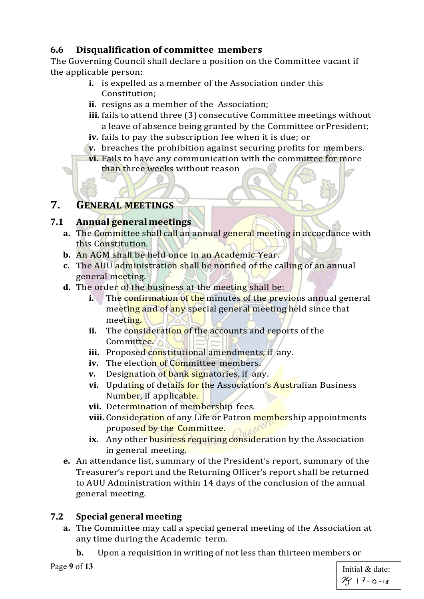## <span id="page-8-0"></span>**6.6 Disqualification of committee members**

The Governing Council shall declare a position on the Committee vacant if the applicable person:

- **i.** is expelled as a member of the Association under this Constitution;
- **ii.** resigns as a member of the Association;
- **iii.** fails to attend three (3) consecutive Committee meetings without a leave of absence being granted by the Committee orPresident;
- **iv.** fails to pay the subscription fee when it is due; or
- **v.** breaches the prohibition against securing profits for members.
- **vi.** Fails to have any communication with the committee for more than three weeks without reason

## <span id="page-8-1"></span>**7. GENERAL MEETINGS**

## <span id="page-8-2"></span>**7.1 Annual generalmeetings**

- **a.** The Committee shall call an annual general meeting in accordance with this Constitution.
- **b.** An AGM shall be held once in an Academic Year.
- **c.** The AUU administration shall be notified of the calling of an annual general meeting.
- **d.** The order of the business at the meeting shall be:
	- **i.** The confirmation of the minutes of the previous annual general meeting and of any special general meeting held since that meeting.
	- **ii.** The consideration of the accounts and reports of the Committee.
	- iii. Proposed constitutional amendments, if any.
	- **iv.** The election of Committee members.
	- **v.** Designation of bank signatories, if any.
	- vi. Updating of details for the Association's Australian Business Number, if applicable.
	- **vii.** Determination of membership fees.
	- **viii.** Consideration of any Life or Patron membership appointments proposed by the Committee. Indere
	- **ix.** Any other business requiring consideration by the Association in general meeting.
- **e.** An attendance list, summary of the President's report, summary of the Treasurer's report and the Returning Officer's report shall be returned to AUU Administration within 14 days of the conclusion of the annual general meeting.

## <span id="page-8-3"></span>**7.2 Special general meeting**

- **a.** The Committee may call a special general meeting of the Association at any time during the Academic term.
	- **b.** Upon a requisition in writing of not less than thirteen members or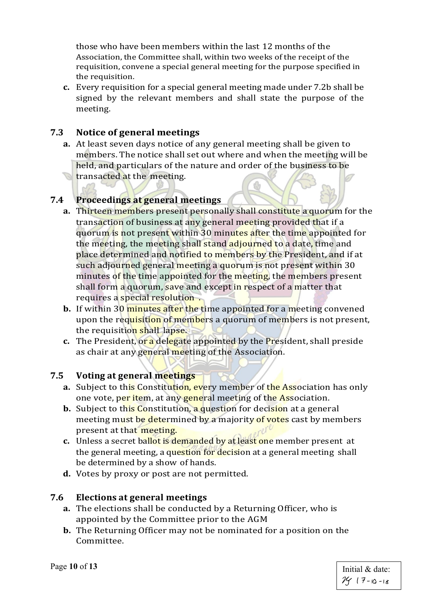those who have been members within the last 12 months of the Association, the Committee shall, within two weeks of the receipt of the requisition, convene a special general meeting for the purpose specified in the requisition.

**c.** Every requisition for a special general meeting made under 7.2b shall be signed by the relevant members and shall state the purpose of the meeting.

#### <span id="page-9-0"></span>**7.3 Notice of general meetings**

**a.** At least seven days notice of any general meeting shall be given to members. The notice shall set out where and when the meeting will be held, and particulars of the nature and order of the business to be **transacted at the meeting.** 

## <span id="page-9-1"></span>**7.4 Proceedings at general meetings**

- **a.** Thirteen members present personally shall constitute a quorum for the transaction of business at any general meeting provided that if a quorum is not present within 30 minutes after the time appointed for the meeting, the meeting shall stand adjourned to a date, time and place determined and notified to members by the President, and if at such adjourned general meeting a quorum is not present within 30 minutes of the time appointed for the meeting, the members present shall form a quorum, save and except in respect of a matter that requires a special resolution.
- **b.** If within 30 minutes after the time appointed for a meeting convened upon the requisition of members a quorum of members is not present, the requisition shall lapse.
- **c.** The President, or a delegate appointed by the President, shall preside as chair at any general meeting of the Association.

#### <span id="page-9-2"></span>**7.5 Voting at general meetings**

- **a.** Subject to this Constitution, every member of the Association has only one vote, per item, at any general meeting of the Association.
- **b.** Subject to this Constitution, a question for decision at a general meeting must be determined by a majority of votes cast by members present at that meeting.
- **c.** Unless a secret ballot is demanded by at least one member present at the general meeting, a question for decision at a general meeting shall be determined by a show of hands.
- **d.** Votes by proxy or post are not permitted.

#### <span id="page-9-3"></span>**7.6 Elections at general meetings**

- **a.** The elections shall be conducted by a Returning Officer, who is appointed by the Committee prior to the AGM
- **b.** The Returning Officer may not be nominated for a position on the Committee.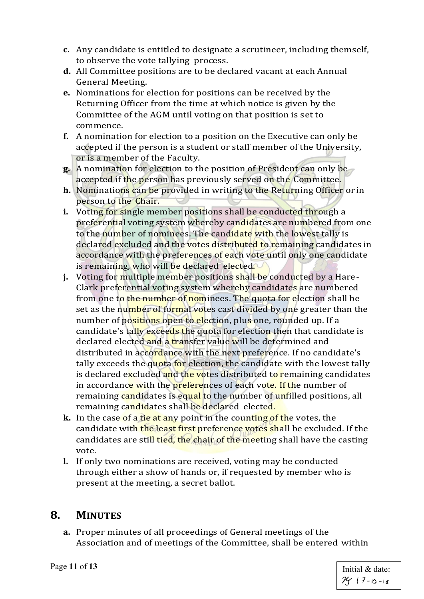- **c.** Any candidate is entitled to designate a scrutineer, including themself, to observe the vote tallying process.
- **d.** All Committee positions are to be declared vacant at each Annual General Meeting.
- **e.** Nominations for election for positions can be received by the Returning Officer from the time at which notice is given by the Committee of the AGM until voting on that position is set to commence.
- **f.** A nomination for election to a position on the Executive can only be accepted if the person is a student or staff member of the University, or is a member of the Faculty.
- **g.** A nomination for election to the position of President can only be accepted if the person has previously served on the Committee.
- **h.** Nominations can be provided in writing to the Returning Officer or in person to the Chair.
- **i.** Voting for single member positions shall be conducted through a preferential voting system whereby candidates are numbered from one to the number of nominees. The candidate with the lowest tally is declared excluded and the votes distributed to remaining candidates in accordance with the preferences of each vote until only one candidate is remaining, who will be declared elected.
- **j.** Voting for multiple member positions shall be conducted by a Hare-Clark preferential voting system whereby candidates are numbered from one to the number of nominees. The quota for election shall be set as the number of formal votes cast divided by one greater than the number of positions open to election, plus one, rounded up. If a candidate's tally exceeds the quota for election then that candidate is declared elected and a transfer value will be determined and distributed in accordance with the next preference. If no candidate's tally exceeds the quota for election, the candidate with the lowest tally is declared excluded and the votes distributed to remaining candidates in accordance with the preferences of each vote. If the number of remaining candidates is equal to the number of unfilled positions, all remaining candidates shall be declared elected.
- **k.** In the case of a tie at any point in the counting of the votes, the candidate with the least first preference votes shall be excluded. If the candidates are still tied, the chair of the meeting shall have the casting vote.
- **l.** If only two nominations are received, voting may be conducted through either a show of hands or, if requested by member who is present at the meeting, a secret ballot.

## <span id="page-10-0"></span>**8. MINUTES**

**a.** Proper minutes of all proceedings of General meetings of the Association and of meetings of the Committee, shall be entered within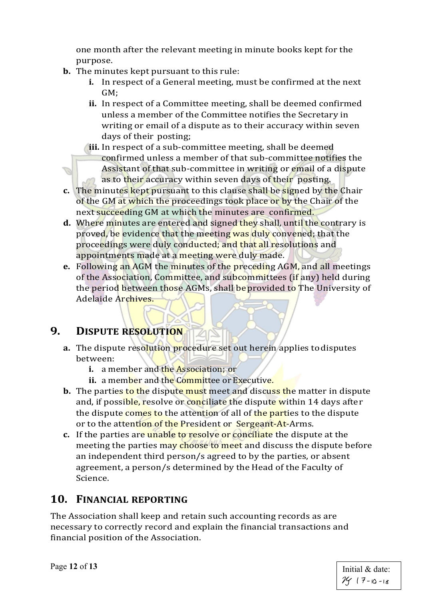one month after the relevant meeting in minute books kept for the purpose.

- **b.** The minutes kept pursuant to this rule:
	- **i.** In respect of a General meeting, must be confirmed at the next GM;
	- **ii.** In respect of a Committee meeting, shall be deemed confirmed unless a member of the Committee notifies the Secretary in writing or email of a dispute as to their accuracy within seven days of their posting;
	- **iii.** In respect of a sub-committee meeting, shall be deemed confirmed unless a member of that sub-committee notifies the Assistant of that sub-committee in writing or email of a dispute as to their accuracy within seven days of their posting.
- **c.** The minutes kept pursuant to this clause shall be signed by the Chair of the GM at which the proceedings took place or by the Chair of the next succeeding GM at which the minutes are confirmed.
- **d.** Where minutes are entered and signed they shall, until the contrary is proved, be evidence that the meeting was duly convened; that the proceedings were duly conducted; and that all resolutions and appointments made at a meeting were duly made.
- **e.** Following an AGM the minutes of the preceding AGM, and all meetings of the Association, Committee, and subcommittees (if any) held during the period between those AGMs, shall be provided to The University of Adelaide Archives.

# <span id="page-11-0"></span>**9. DISPUTE RESOLUTION**

- **a.** The dispute resolution procedure set out herein applies to disputes between:
	- **i.** a member and the Association; or
	- **ii.** a member and the Committee or Executive.
- **b.** The parties to the dispute must meet and discuss the matter in dispute and, if possible, resolve or conciliate the dispute within 14 days after the dispute comes to the attention of all of the parties to the dispute or to the attention of the President or Sergeant-At-Arms.
- **c.** If the parties are unable to resolve or conciliate the dispute at the meeting the parties may choose to meet and discuss the dispute before an independent third person/s agreed to by the parties, or absent agreement, a person/s determined by the Head of the Faculty of Science.

# <span id="page-11-1"></span>**10. FINANCIAL REPORTING**

The Association shall keep and retain such accounting records as are necessary to correctly record and explain the financial transactions and financial position of the Association.